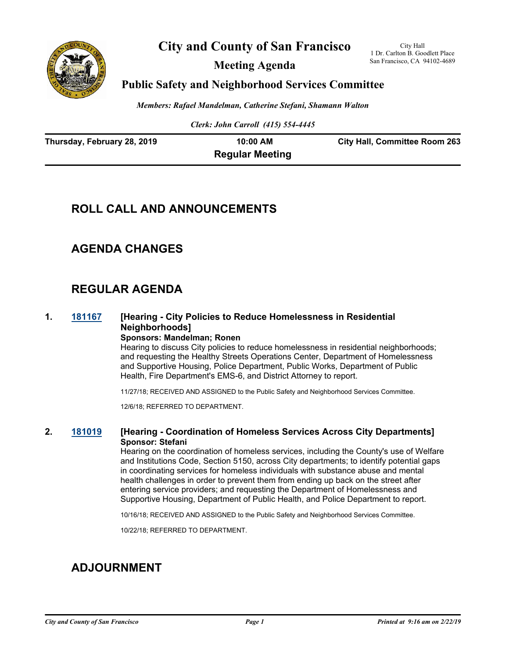

**City and County of San Francisco**

**Meeting Agenda**

City Hall 1 Dr. Carlton B. Goodlett Place San Francisco, CA 94102-4689

### **Public Safety and Neighborhood Services Committee**

*Members: Rafael Mandelman, Catherine Stefani, Shamann Walton*

*Clerk: John Carroll (415) 554-4445*

| Thursday, February 28, 2019 | 10:00 AM               | <b>City Hall, Committee Room 263</b> |
|-----------------------------|------------------------|--------------------------------------|
|                             | <b>Regular Meeting</b> |                                      |

# **ROLL CALL AND ANNOUNCEMENTS**

## **AGENDA CHANGES**

# **REGULAR AGENDA**

#### **1. [181167](http://sfgov.legistar.com/gateway.aspx?m=l&id=34036) [Hearing - City Policies to Reduce Homelessness in Residential Neighborhoods] Sponsors: Mandelman; Ronen**

Hearing to discuss City policies to reduce homelessness in residential neighborhoods; and requesting the Healthy Streets Operations Center, Department of Homelessness and Supportive Housing, Police Department, Public Works, Department of Public Health, Fire Department's EMS-6, and District Attorney to report.

11/27/18; RECEIVED AND ASSIGNED to the Public Safety and Neighborhood Services Committee.

12/6/18; REFERRED TO DEPARTMENT.

#### **2. [181019](http://sfgov.legistar.com/gateway.aspx?m=l&id=33888) [Hearing - Coordination of Homeless Services Across City Departments] Sponsor: Stefani**

Hearing on the coordination of homeless services, including the County's use of Welfare and Institutions Code, Section 5150, across City departments; to identify potential gaps in coordinating services for homeless individuals with substance abuse and mental health challenges in order to prevent them from ending up back on the street after entering service providers; and requesting the Department of Homelessness and Supportive Housing, Department of Public Health, and Police Department to report.

10/16/18; RECEIVED AND ASSIGNED to the Public Safety and Neighborhood Services Committee.

10/22/18; REFERRED TO DEPARTMENT.

# **ADJOURNMENT**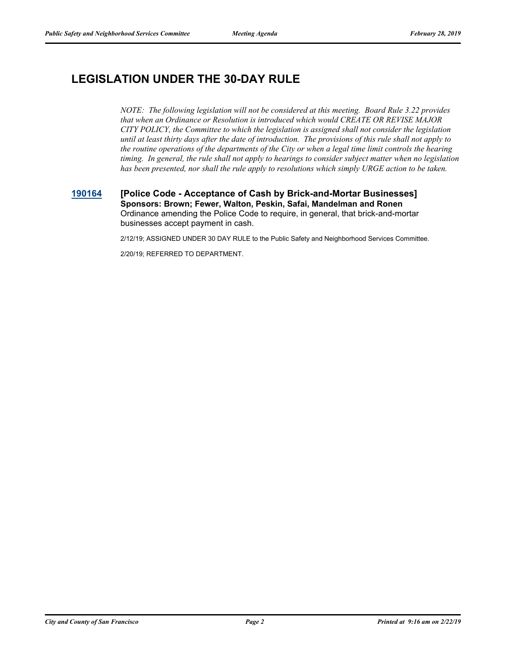# **LEGISLATION UNDER THE 30-DAY RULE**

*NOTE: The following legislation will not be considered at this meeting. Board Rule 3.22 provides that when an Ordinance or Resolution is introduced which would CREATE OR REVISE MAJOR CITY POLICY, the Committee to which the legislation is assigned shall not consider the legislation until at least thirty days after the date of introduction. The provisions of this rule shall not apply to the routine operations of the departments of the City or when a legal time limit controls the hearing timing. In general, the rule shall not apply to hearings to consider subject matter when no legislation has been presented, nor shall the rule apply to resolutions which simply URGE action to be taken.*

#### **[190164](http://sfgov.legistar.com/gateway.aspx?m=l&id=34285) [Police Code - Acceptance of Cash by Brick-and-Mortar Businesses] Sponsors: Brown; Fewer, Walton, Peskin, Safai, Mandelman and Ronen** Ordinance amending the Police Code to require, in general, that brick-and-mortar businesses accept payment in cash.

2/12/19; ASSIGNED UNDER 30 DAY RULE to the Public Safety and Neighborhood Services Committee.

2/20/19; REFERRED TO DEPARTMENT.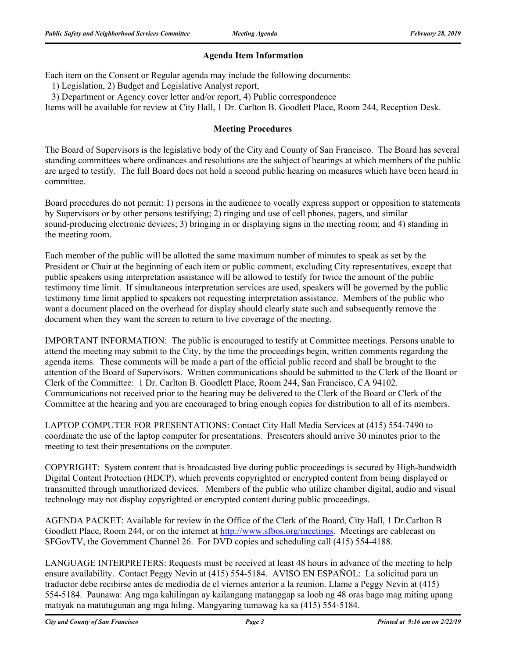### **Agenda Item Information**

Each item on the Consent or Regular agenda may include the following documents:

1) Legislation, 2) Budget and Legislative Analyst report,

3) Department or Agency cover letter and/or report, 4) Public correspondence

Items will be available for review at City Hall, 1 Dr. Carlton B. Goodlett Place, Room 244, Reception Desk.

### **Meeting Procedures**

The Board of Supervisors is the legislative body of the City and County of San Francisco. The Board has several standing committees where ordinances and resolutions are the subject of hearings at which members of the public are urged to testify. The full Board does not hold a second public hearing on measures which have been heard in committee.

Board procedures do not permit: 1) persons in the audience to vocally express support or opposition to statements by Supervisors or by other persons testifying; 2) ringing and use of cell phones, pagers, and similar sound-producing electronic devices; 3) bringing in or displaying signs in the meeting room; and 4) standing in the meeting room.

Each member of the public will be allotted the same maximum number of minutes to speak as set by the President or Chair at the beginning of each item or public comment, excluding City representatives, except that public speakers using interpretation assistance will be allowed to testify for twice the amount of the public testimony time limit. If simultaneous interpretation services are used, speakers will be governed by the public testimony time limit applied to speakers not requesting interpretation assistance. Members of the public who want a document placed on the overhead for display should clearly state such and subsequently remove the document when they want the screen to return to live coverage of the meeting.

IMPORTANT INFORMATION: The public is encouraged to testify at Committee meetings. Persons unable to attend the meeting may submit to the City, by the time the proceedings begin, written comments regarding the agenda items. These comments will be made a part of the official public record and shall be brought to the attention of the Board of Supervisors. Written communications should be submitted to the Clerk of the Board or Clerk of the Committee: 1 Dr. Carlton B. Goodlett Place, Room 244, San Francisco, CA 94102. Communications not received prior to the hearing may be delivered to the Clerk of the Board or Clerk of the Committee at the hearing and you are encouraged to bring enough copies for distribution to all of its members.

LAPTOP COMPUTER FOR PRESENTATIONS: Contact City Hall Media Services at (415) 554-7490 to coordinate the use of the laptop computer for presentations. Presenters should arrive 30 minutes prior to the meeting to test their presentations on the computer.

COPYRIGHT: System content that is broadcasted live during public proceedings is secured by High-bandwidth Digital Content Protection (HDCP), which prevents copyrighted or encrypted content from being displayed or transmitted through unauthorized devices. Members of the public who utilize chamber digital, audio and visual technology may not display copyrighted or encrypted content during public proceedings.

AGENDA PACKET: Available for review in the Office of the Clerk of the Board, City Hall, 1 Dr.Carlton B Goodlett Place, Room 244, or on the internet at http://www.sfbos.org/meetings. Meetings are cablecast on SFGovTV, the Government Channel 26. For DVD copies and scheduling call (415) 554-4188.

LANGUAGE INTERPRETERS: Requests must be received at least 48 hours in advance of the meeting to help ensure availability. Contact Peggy Nevin at (415) 554-5184. AVISO EN ESPAÑOL: La solicitud para un traductor debe recibirse antes de mediodía de el viernes anterior a la reunion. Llame a Peggy Nevin at (415) 554-5184. Paunawa: Ang mga kahilingan ay kailangang matanggap sa loob ng 48 oras bago mag miting upang matiyak na matutugunan ang mga hiling. Mangyaring tumawag ka sa (415) 554-5184.